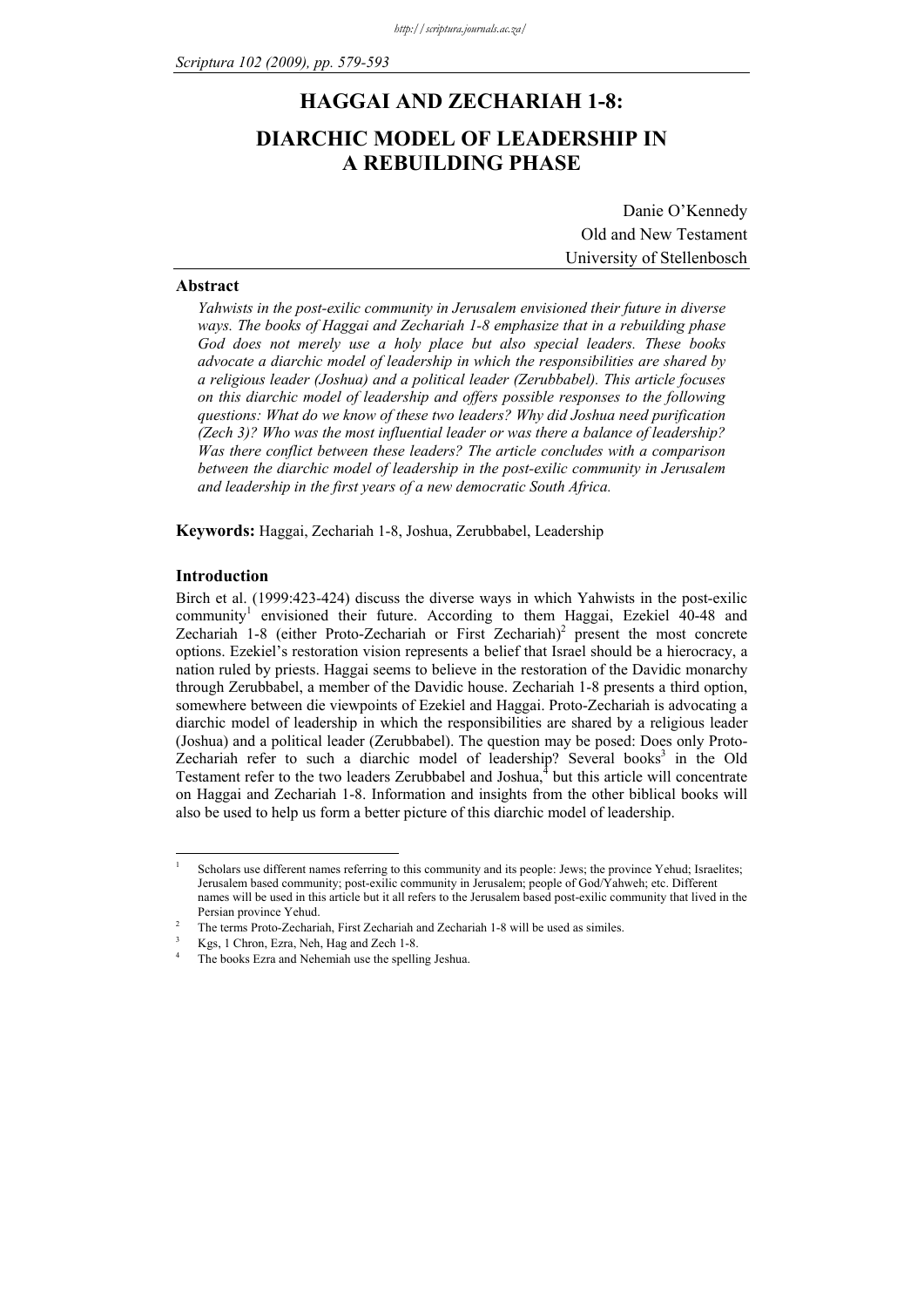# **HAGGAI AND ZECHARIAH 1-8: DIARCHIC MODEL OF LEADERSHIP IN A REBUILDING PHASE**

Danie O'Kennedy Old and New Testament University of Stellenbosch

#### **Abstract**

*Yahwists in the post-exilic community in Jerusalem envisioned their future in diverse ways. The books of Haggai and Zechariah 1-8 emphasize that in a rebuilding phase God does not merely use a holy place but also special leaders. These books advocate a diarchic model of leadership in which the responsibilities are shared by a religious leader (Joshua) and a political leader (Zerubbabel). This article focuses on this diarchic model of leadership and offers possible responses to the following questions: What do we know of these two leaders? Why did Joshua need purification (Zech 3)? Who was the most influential leader or was there a balance of leadership? Was there conflict between these leaders? The article concludes with a comparison between the diarchic model of leadership in the post-exilic community in Jerusalem and leadership in the first years of a new democratic South Africa.* 

**Keywords:** Haggai, Zechariah 1-8, Joshua, Zerubbabel, Leadership

# **Introduction**

<u>.</u>

Birch et al. (1999:423-424) discuss the diverse ways in which Yahwists in the post-exilic community<sup>1</sup> envisioned their future. According to them Haggai, Ezekiel 40-48 and Zechariah 1-8 (either Proto-Zechariah or First Zechariah)<sup>2</sup> present the most concrete options. Ezekiel's restoration vision represents a belief that Israel should be a hierocracy, a nation ruled by priests. Haggai seems to believe in the restoration of the Davidic monarchy through Zerubbabel, a member of the Davidic house. Zechariah 1-8 presents a third option, somewhere between die viewpoints of Ezekiel and Haggai. Proto-Zechariah is advocating a diarchic model of leadership in which the responsibilities are shared by a religious leader (Joshua) and a political leader (Zerubbabel). The question may be posed: Does only Proto-Zechariah refer to such a diarchic model of leadership? Several books<sup>3</sup> in the Old Testament refer to the two leaders Zerubbabel and Joshua, $4$  but this article will concentrate on Haggai and Zechariah 1-8. Information and insights from the other biblical books will also be used to help us form a better picture of this diarchic model of leadership.

<sup>1</sup> Scholars use different names referring to this community and its people: Jews; the province Yehud; Israelites; Jerusalem based community; post-exilic community in Jerusalem; people of God/Yahweh; etc. Different names will be used in this article but it all refers to the Jerusalem based post-exilic community that lived in the Persian province Yehud. 2

The terms Proto-Zechariah, First Zechariah and Zechariah 1-8 will be used as similes. 3

Kgs, 1 Chron, Ezra, Neh, Hag and Zech 1-8.

<sup>4</sup> The books Ezra and Nehemiah use the spelling Jeshua.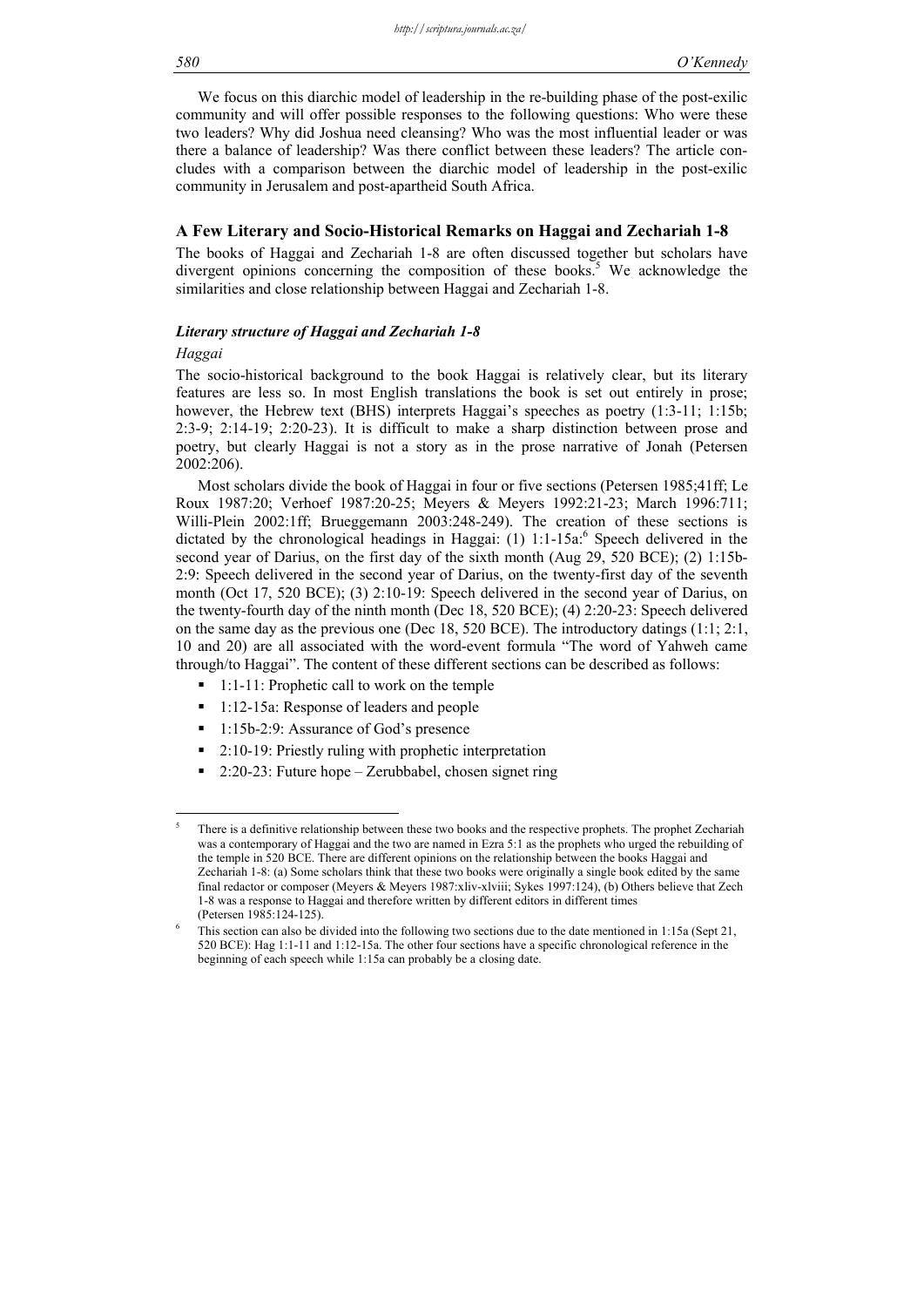We focus on this diarchic model of leadership in the re-building phase of the post-exilic community and will offer possible responses to the following questions: Who were these two leaders? Why did Joshua need cleansing? Who was the most influential leader or was there a balance of leadership? Was there conflict between these leaders? The article concludes with a comparison between the diarchic model of leadership in the post-exilic community in Jerusalem and post-apartheid South Africa.

#### **A Few Literary and Socio-Historical Remarks on Haggai and Zechariah 1-8**

The books of Haggai and Zechariah 1-8 are often discussed together but scholars have divergent opinions concerning the composition of these books.<sup>5</sup> We acknowledge the similarities and close relationship between Haggai and Zechariah 1-8.

#### *Literary structure of Haggai and Zechariah 1-8*

#### *Haggai*

1

The socio-historical background to the book Haggai is relatively clear, but its literary features are less so. In most English translations the book is set out entirely in prose; however, the Hebrew text (BHS) interprets Haggai's speeches as poetry (1:3-11; 1:15b; 2:3-9; 2:14-19; 2:20-23). It is difficult to make a sharp distinction between prose and poetry, but clearly Haggai is not a story as in the prose narrative of Jonah (Petersen 2002:206).

Most scholars divide the book of Haggai in four or five sections (Petersen 1985;41ff; Le Roux 1987:20; Verhoef 1987:20-25; Meyers & Meyers 1992:21-23; March 1996:711; Willi-Plein 2002:1ff; Brueggemann 2003:248-249). The creation of these sections is dictated by the chronological headings in Haggai:  $(1)$  1:1-15a: Speech delivered in the second year of Darius, on the first day of the sixth month (Aug 29, 520 BCE); (2) 1:15b-2:9: Speech delivered in the second year of Darius, on the twenty-first day of the seventh month (Oct 17, 520 BCE); (3) 2:10-19: Speech delivered in the second year of Darius, on the twenty-fourth day of the ninth month (Dec 18, 520 BCE); (4) 2:20-23: Speech delivered on the same day as the previous one (Dec 18, 520 BCE). The introductory datings (1:1; 2:1, 10 and 20) are all associated with the word-event formula "The word of Yahweh came through/to Haggai". The content of these different sections can be described as follows:

- 1:1-11: Prophetic call to work on the temple
- 1:12-15a: Response of leaders and people
- 1:15b-2:9: Assurance of God's presence
- 2:10-19: Priestly ruling with prophetic interpretation
- 2:20-23: Future hope Zerubbabel, chosen signet ring

<sup>5</sup> There is a definitive relationship between these two books and the respective prophets. The prophet Zechariah was a contemporary of Haggai and the two are named in Ezra 5:1 as the prophets who urged the rebuilding of the temple in 520 BCE. There are different opinions on the relationship between the books Haggai and Zechariah 1-8: (a) Some scholars think that these two books were originally a single book edited by the same final redactor or composer (Meyers & Meyers 1987:xliv-xlviii; Sykes 1997:124), (b) Others believe that Zech 1-8 was a response to Haggai and therefore written by different editors in different times (Petersen 1985:124-125). 6

This section can also be divided into the following two sections due to the date mentioned in 1:15a (Sept 21, 520 BCE): Hag 1:1-11 and 1:12-15a. The other four sections have a specific chronological reference in the beginning of each speech while 1:15a can probably be a closing date.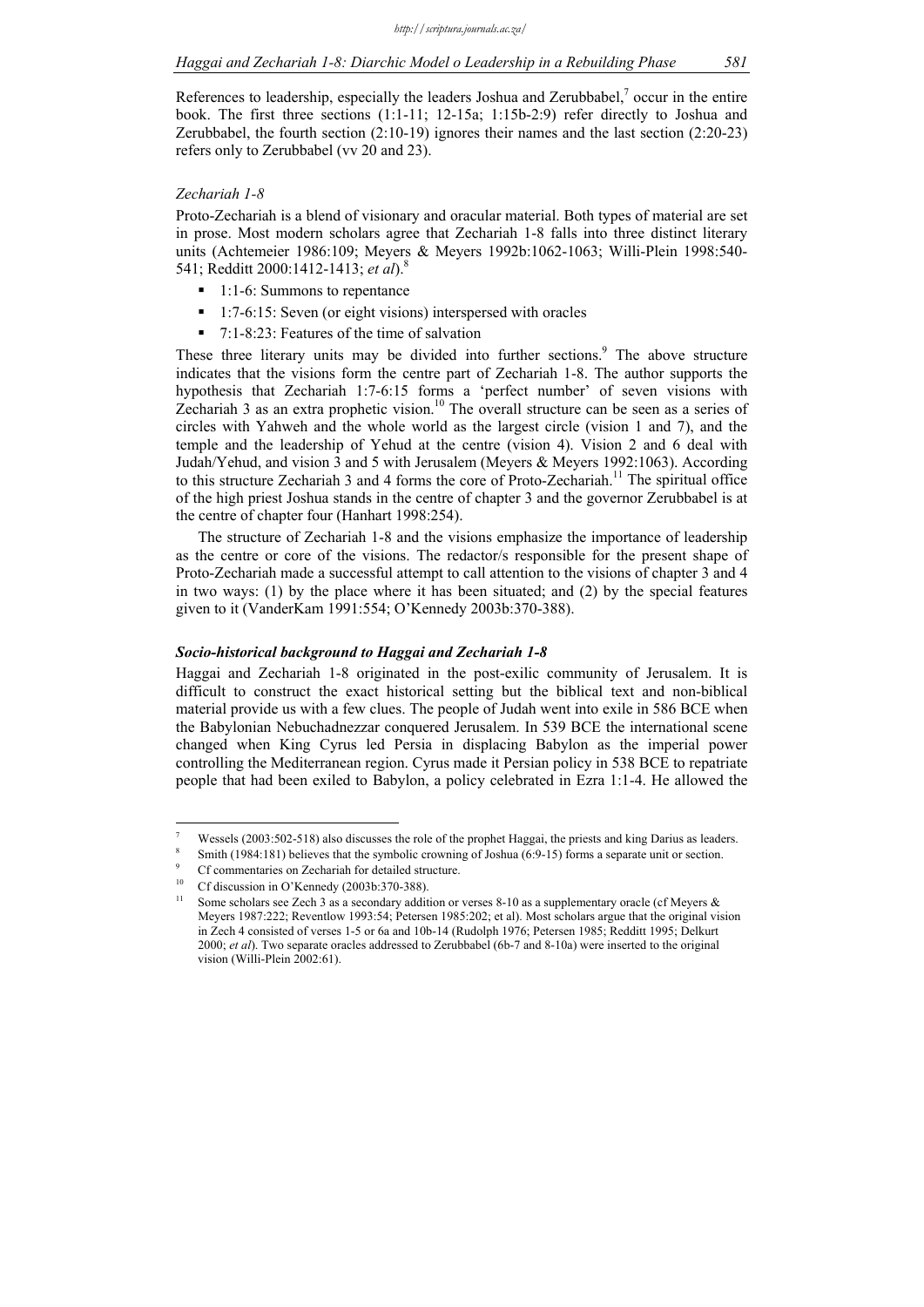References to leadership, especially the leaders Joshua and Zerubbabel, $\alpha$  occur in the entire book. The first three sections (1:1-11; 12-15a; 1:15b-2:9) refer directly to Joshua and Zerubbabel, the fourth section (2:10-19) ignores their names and the last section (2:20-23) refers only to Zerubbabel (vv 20 and 23).

# *Zechariah 1-8*

Proto-Zechariah is a blend of visionary and oracular material. Both types of material are set in prose. Most modern scholars agree that Zechariah 1-8 falls into three distinct literary units (Achtemeier 1986:109; Meyers & Meyers 1992b:1062-1063; Willi-Plein 1998:540- 541; Redditt 2000:1412-1413; *et al*).8

- 1:1-6: Summons to repentance
- 1:7-6:15: Seven (or eight visions) interspersed with oracles
- $\blacksquare$  7:1-8:23: Features of the time of salvation

These three literary units may be divided into further sections.<sup>9</sup> The above structure indicates that the visions form the centre part of Zechariah 1-8. The author supports the hypothesis that Zechariah 1:7-6:15 forms a 'perfect number' of seven visions with Zechariah 3 as an extra prophetic vision.<sup>10</sup> The overall structure can be seen as a series of circles with Yahweh and the whole world as the largest circle (vision 1 and 7), and the temple and the leadership of Yehud at the centre (vision 4). Vision 2 and 6 deal with Judah/Yehud, and vision 3 and 5 with Jerusalem (Meyers & Meyers 1992:1063). According to this structure Zechariah 3 and 4 forms the core of Proto-Zechariah.<sup>11</sup> The spiritual office of the high priest Joshua stands in the centre of chapter 3 and the governor Zerubbabel is at the centre of chapter four (Hanhart 1998:254).

The structure of Zechariah 1-8 and the visions emphasize the importance of leadership as the centre or core of the visions. The redactor/s responsible for the present shape of Proto-Zechariah made a successful attempt to call attention to the visions of chapter 3 and 4 in two ways: (1) by the place where it has been situated; and (2) by the special features given to it (VanderKam 1991:554; O'Kennedy 2003b:370-388).

#### *Socio-historical background to Haggai and Zechariah 1-8*

Haggai and Zechariah 1-8 originated in the post-exilic community of Jerusalem. It is difficult to construct the exact historical setting but the biblical text and non-biblical material provide us with a few clues. The people of Judah went into exile in 586 BCE when the Babylonian Nebuchadnezzar conquered Jerusalem. In 539 BCE the international scene changed when King Cyrus led Persia in displacing Babylon as the imperial power controlling the Mediterranean region. Cyrus made it Persian policy in 538 BCE to repatriate people that had been exiled to Babylon, a policy celebrated in Ezra 1:1-4. He allowed the

1

<sup>7</sup> Wessels (2003:502-518) also discusses the role of the prophet Haggai, the priests and king Darius as leaders.

Smith (1984:181) believes that the symbolic crowning of Joshua (6:9-15) forms a separate unit or section.

<sup>9</sup> Cf commentaries on Zechariah for detailed structure.

Cf discussion in O'Kennedy (2003b:370-388).

Some scholars see Zech 3 as a secondary addition or verses 8-10 as a supplementary oracle (cf Meyers  $\&$ Meyers 1987:222; Reventlow 1993:54; Petersen 1985:202; et al). Most scholars argue that the original vision in Zech 4 consisted of verses 1-5 or 6a and 10b-14 (Rudolph 1976; Petersen 1985; Redditt 1995; Delkurt 2000; *et al*). Two separate oracles addressed to Zerubbabel (6b-7 and 8-10a) were inserted to the original vision (Willi-Plein 2002:61).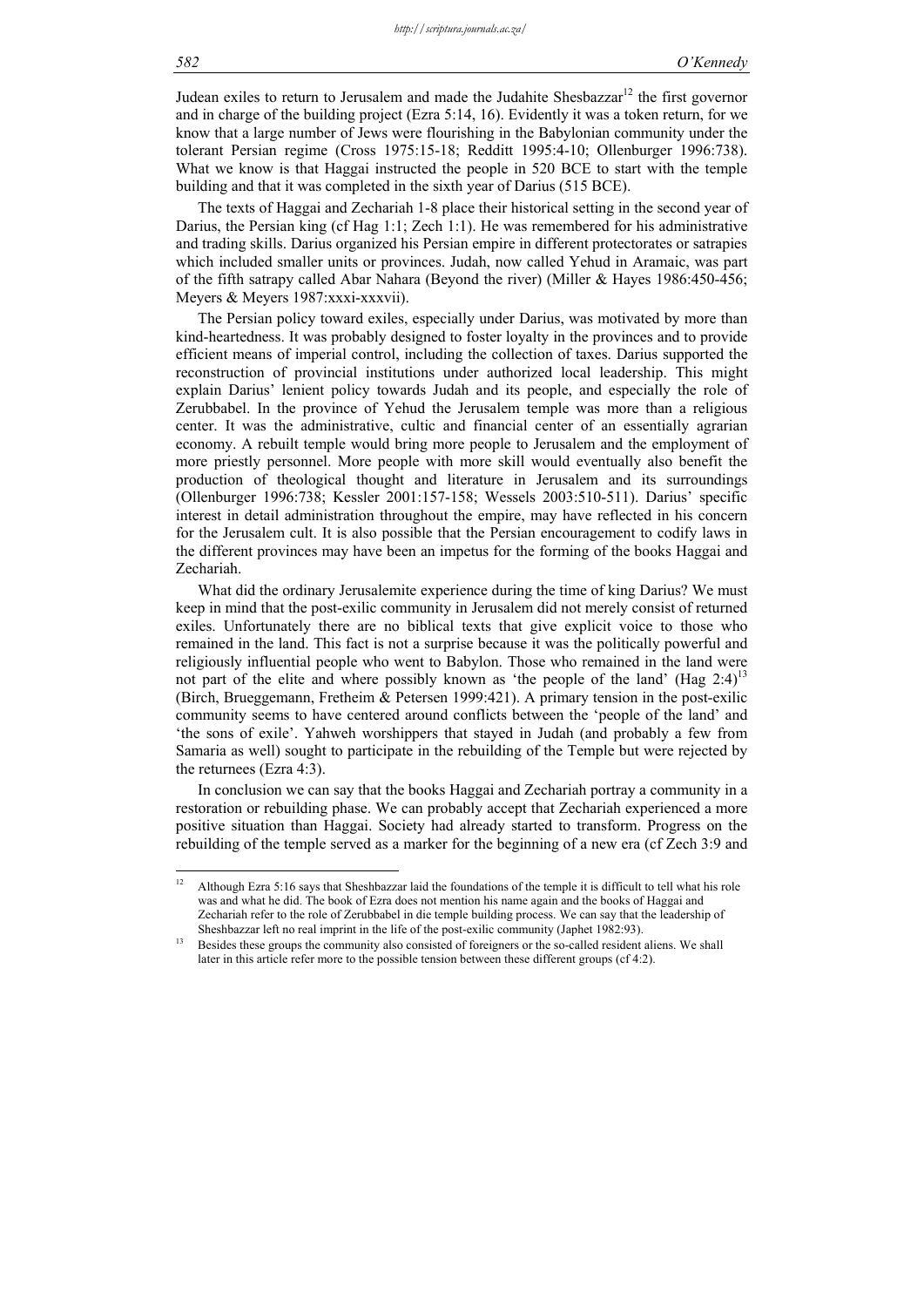Judean exiles to return to Jerusalem and made the Judahite Shesbazzar<sup>12</sup> the first governor and in charge of the building project (Ezra 5:14, 16). Evidently it was a token return, for we know that a large number of Jews were flourishing in the Babylonian community under the tolerant Persian regime (Cross 1975:15-18; Redditt 1995:4-10; Ollenburger 1996:738). What we know is that Haggai instructed the people in 520 BCE to start with the temple building and that it was completed in the sixth year of Darius (515 BCE).

The texts of Haggai and Zechariah 1-8 place their historical setting in the second year of Darius, the Persian king (cf Hag 1:1; Zech 1:1). He was remembered for his administrative and trading skills. Darius organized his Persian empire in different protectorates or satrapies which included smaller units or provinces. Judah, now called Yehud in Aramaic, was part of the fifth satrapy called Abar Nahara (Beyond the river) (Miller & Hayes 1986:450-456; Meyers & Meyers 1987:xxxi-xxxvii).

The Persian policy toward exiles, especially under Darius, was motivated by more than kind-heartedness. It was probably designed to foster loyalty in the provinces and to provide efficient means of imperial control, including the collection of taxes. Darius supported the reconstruction of provincial institutions under authorized local leadership. This might explain Darius' lenient policy towards Judah and its people, and especially the role of Zerubbabel. In the province of Yehud the Jerusalem temple was more than a religious center. It was the administrative, cultic and financial center of an essentially agrarian economy. A rebuilt temple would bring more people to Jerusalem and the employment of more priestly personnel. More people with more skill would eventually also benefit the production of theological thought and literature in Jerusalem and its surroundings (Ollenburger 1996:738; Kessler 2001:157-158; Wessels 2003:510-511). Darius' specific interest in detail administration throughout the empire, may have reflected in his concern for the Jerusalem cult. It is also possible that the Persian encouragement to codify laws in the different provinces may have been an impetus for the forming of the books Haggai and Zechariah.

What did the ordinary Jerusalemite experience during the time of king Darius? We must keep in mind that the post-exilic community in Jerusalem did not merely consist of returned exiles. Unfortunately there are no biblical texts that give explicit voice to those who remained in the land. This fact is not a surprise because it was the politically powerful and religiously influential people who went to Babylon. Those who remained in the land were not part of the elite and where possibly known as 'the people of the land' (Hag  $2:4$ )<sup>13</sup> (Birch, Brueggemann, Fretheim & Petersen 1999:421). A primary tension in the post-exilic community seems to have centered around conflicts between the 'people of the land' and 'the sons of exile'. Yahweh worshippers that stayed in Judah (and probably a few from Samaria as well) sought to participate in the rebuilding of the Temple but were rejected by the returnees (Ezra 4:3).

In conclusion we can say that the books Haggai and Zechariah portray a community in a restoration or rebuilding phase. We can probably accept that Zechariah experienced a more positive situation than Haggai. Society had already started to transform. Progress on the rebuilding of the temple served as a marker for the beginning of a new era (cf Zech 3:9 and

<u>.</u>

<sup>&</sup>lt;sup>12</sup> Although Ezra 5:16 says that Sheshbazzar laid the foundations of the temple it is difficult to tell what his role was and what he did. The book of Ezra does not mention his name again and the books of Haggai and Zechariah refer to the role of Zerubbabel in die temple building process. We can say that the leadership of Sheshbazzar left no real imprint in the life of the post-exilic community (Japhet 1982:93).<br><sup>13</sup> Besides these groups the community also consisted of foreigners or the so-called resident aliens. We shall

later in this article refer more to the possible tension between these different groups (cf 4:2).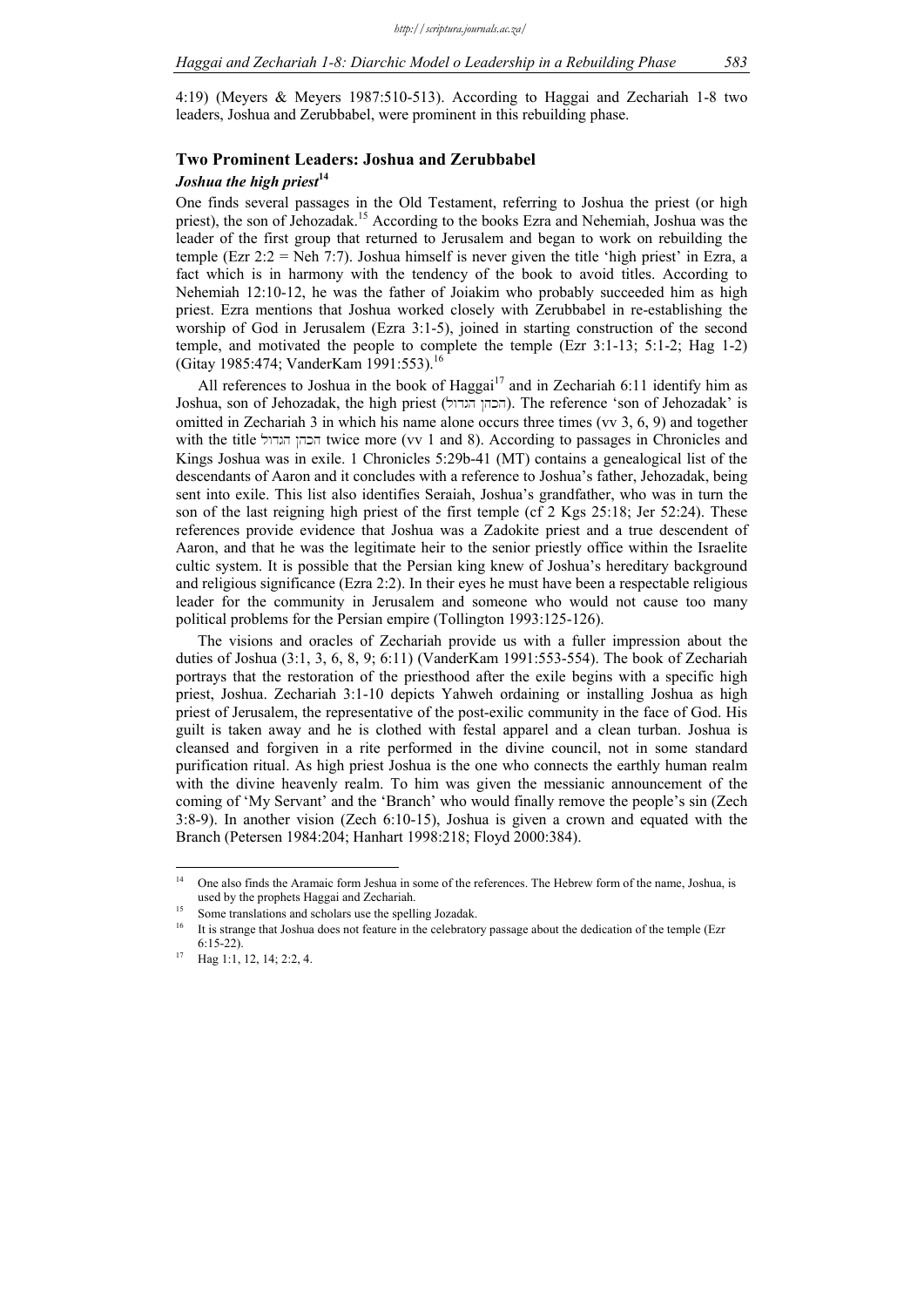4:19) (Meyers & Meyers 1987:510-513). According to Haggai and Zechariah 1-8 two leaders, Joshua and Zerubbabel, were prominent in this rebuilding phase.

# **Two Prominent Leaders: Joshua and Zerubbabel**

# *Joshua the high priest***<sup>14</sup>**

One finds several passages in the Old Testament, referring to Joshua the priest (or high priest), the son of Jehozadak.<sup>15</sup> According to the books Ezra and Nehemiah, Joshua was the leader of the first group that returned to Jerusalem and began to work on rebuilding the temple (Ezr  $2:2 =$  Neh 7:7). Joshua himself is never given the title 'high priest' in Ezra, a fact which is in harmony with the tendency of the book to avoid titles. According to Nehemiah 12:10-12, he was the father of Joiakim who probably succeeded him as high priest. Ezra mentions that Joshua worked closely with Zerubbabel in re-establishing the worship of God in Jerusalem (Ezra 3:1-5), joined in starting construction of the second temple, and motivated the people to complete the temple (Ezr 3:1-13; 5:1-2; Hag 1-2) (Gitay 1985:474; VanderKam 1991:553).<sup>16</sup>

All references to Joshua in the book of Haggai<sup>17</sup> and in Zechariah 6:11 identify him as Joshua, son of Jehozadak, the high priest (lwdgh @hkh). The reference 'son of Jehozadak' is omitted in Zechariah 3 in which his name alone occurs three times (vv 3, 6, 9) and together with the title fixtrice more (vv 1 and 8). According to passages in Chronicles and Kings Joshua was in exile. 1 Chronicles 5:29b-41 (MT) contains a genealogical list of the descendants of Aaron and it concludes with a reference to Joshua's father, Jehozadak, being sent into exile. This list also identifies Seraiah, Joshua's grandfather, who was in turn the son of the last reigning high priest of the first temple (cf 2 Kgs 25:18; Jer 52:24). These references provide evidence that Joshua was a Zadokite priest and a true descendent of Aaron, and that he was the legitimate heir to the senior priestly office within the Israelite cultic system. It is possible that the Persian king knew of Joshua's hereditary background and religious significance (Ezra 2:2). In their eyes he must have been a respectable religious leader for the community in Jerusalem and someone who would not cause too many political problems for the Persian empire (Tollington 1993:125-126).

The visions and oracles of Zechariah provide us with a fuller impression about the duties of Joshua (3:1, 3, 6, 8, 9; 6:11) (VanderKam 1991:553-554). The book of Zechariah portrays that the restoration of the priesthood after the exile begins with a specific high priest, Joshua. Zechariah 3:1-10 depicts Yahweh ordaining or installing Joshua as high priest of Jerusalem, the representative of the post-exilic community in the face of God. His guilt is taken away and he is clothed with festal apparel and a clean turban. Joshua is cleansed and forgiven in a rite performed in the divine council, not in some standard purification ritual. As high priest Joshua is the one who connects the earthly human realm with the divine heavenly realm. To him was given the messianic announcement of the coming of 'My Servant' and the 'Branch' who would finally remove the people's sin (Zech 3:8-9). In another vision (Zech 6:10-15), Joshua is given a crown and equated with the Branch (Petersen 1984:204; Hanhart 1998:218; Floyd 2000:384).

 $14$ 14 One also finds the Aramaic form Jeshua in some of the references. The Hebrew form of the name, Joshua, is used by the prophets Haggai and Zechariah.<br><sup>15</sup> Some translations and scholars use the spelling Jozadak.

<sup>16</sup> It is strange that Joshua does not feature in the celebratory passage about the dedication of the temple (Ezr 6:15-22).<br><sup>17</sup> Hag 1:1, 12, 14; 2:2, 4.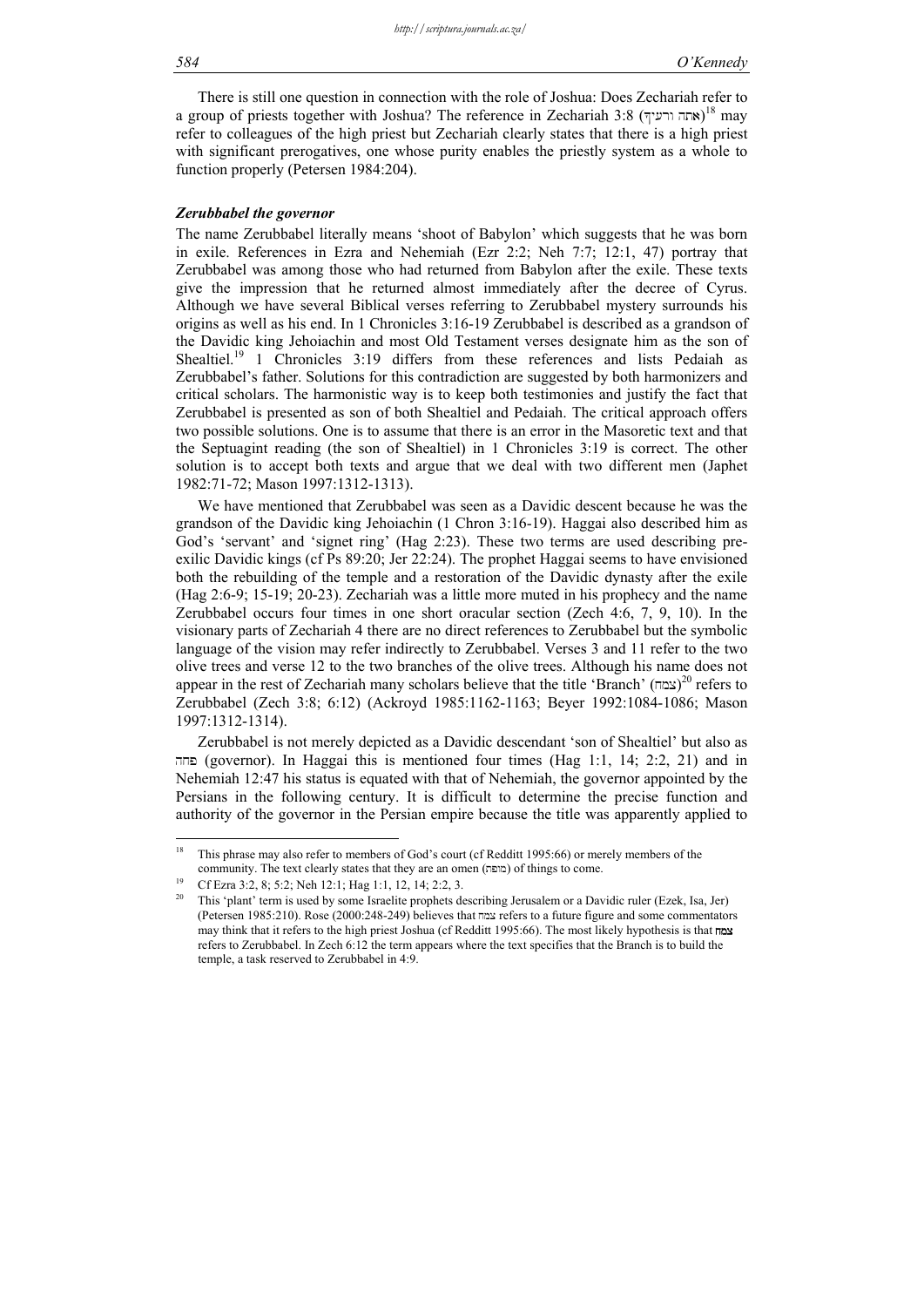#### *584 O'Kennedy*

There is still one question in connection with the role of Joshua: Does Zechariah refer to a group of priests together with Joshua? The reference in Zechariah 3:8 (אחה ורעיך) 18 may refer to colleagues of the high priest but Zechariah clearly states that there is a high priest with significant prerogatives, one whose purity enables the priestly system as a whole to function properly (Petersen 1984:204).

#### *Zerubbabel the governor*

The name Zerubbabel literally means 'shoot of Babylon' which suggests that he was born in exile. References in Ezra and Nehemiah (Ezr 2:2; Neh 7:7; 12:1, 47) portray that Zerubbabel was among those who had returned from Babylon after the exile. These texts give the impression that he returned almost immediately after the decree of Cyrus. Although we have several Biblical verses referring to Zerubbabel mystery surrounds his origins as well as his end. In 1 Chronicles 3:16-19 Zerubbabel is described as a grandson of the Davidic king Jehoiachin and most Old Testament verses designate him as the son of Shealtiel.<sup>19</sup> 1 Chronicles 3:19 differs from these references and lists Pedaiah as Zerubbabel's father. Solutions for this contradiction are suggested by both harmonizers and critical scholars. The harmonistic way is to keep both testimonies and justify the fact that Zerubbabel is presented as son of both Shealtiel and Pedaiah. The critical approach offers two possible solutions. One is to assume that there is an error in the Masoretic text and that the Septuagint reading (the son of Shealtiel) in 1 Chronicles 3:19 is correct. The other solution is to accept both texts and argue that we deal with two different men (Japhet 1982:71-72; Mason 1997:1312-1313).

We have mentioned that Zerubbabel was seen as a Davidic descent because he was the grandson of the Davidic king Jehoiachin (1 Chron 3:16-19). Haggai also described him as God's 'servant' and 'signet ring' (Hag 2:23). These two terms are used describing preexilic Davidic kings (cf Ps 89:20; Jer 22:24). The prophet Haggai seems to have envisioned both the rebuilding of the temple and a restoration of the Davidic dynasty after the exile (Hag 2:6-9; 15-19; 20-23). Zechariah was a little more muted in his prophecy and the name Zerubbabel occurs four times in one short oracular section (Zech 4:6, 7, 9, 10). In the visionary parts of Zechariah 4 there are no direct references to Zerubbabel but the symbolic language of the vision may refer indirectly to Zerubbabel. Verses 3 and 11 refer to the two olive trees and verse 12 to the two branches of the olive trees. Although his name does not appear in the rest of Zechariah many scholars believe that the title 'Branch' (צמח)<sup>20</sup> refers to Zerubbabel (Zech 3:8; 6:12) (Ackroyd 1985:1162-1163; Beyer 1992:1084-1086; Mason 1997:1312-1314).

Zerubbabel is not merely depicted as a Davidic descendant 'son of Shealtiel' but also as החה (governor). In Haggai this is mentioned four times (Hag 1:1, 14; 2:2, 21) and in Nehemiah 12:47 his status is equated with that of Nehemiah, the governor appointed by the Persians in the following century. It is difficult to determine the precise function and authority of the governor in the Persian empire because the title was apparently applied to

 $18\,$ 18 This phrase may also refer to members of God's court (cf Redditt 1995:66) or merely members of the community. The text clearly states that they are an omen (מופה) of things to come. Cf Ezra 3:2, 8; 5:2; Neh 12:1; Hag 1:1, 12, 14; 2:2, 3.

<sup>20</sup> This 'plant' term is used by some Israelite prophets describing Jerusalem or a Davidic ruler (Ezek, Isa, Jer) (Petersen 1985:210). Rose (2000:248-249) believes that  $\frac{m}{2}$  refers to a future figure and some commentators may think that it refers to the high priest Joshua (cf Redditt 1995:66). The most likely hypothesis is that  $\text{max}$ refers to Zerubbabel. In Zech 6:12 the term appears where the text specifies that the Branch is to build the temple, a task reserved to Zerubbabel in 4:9.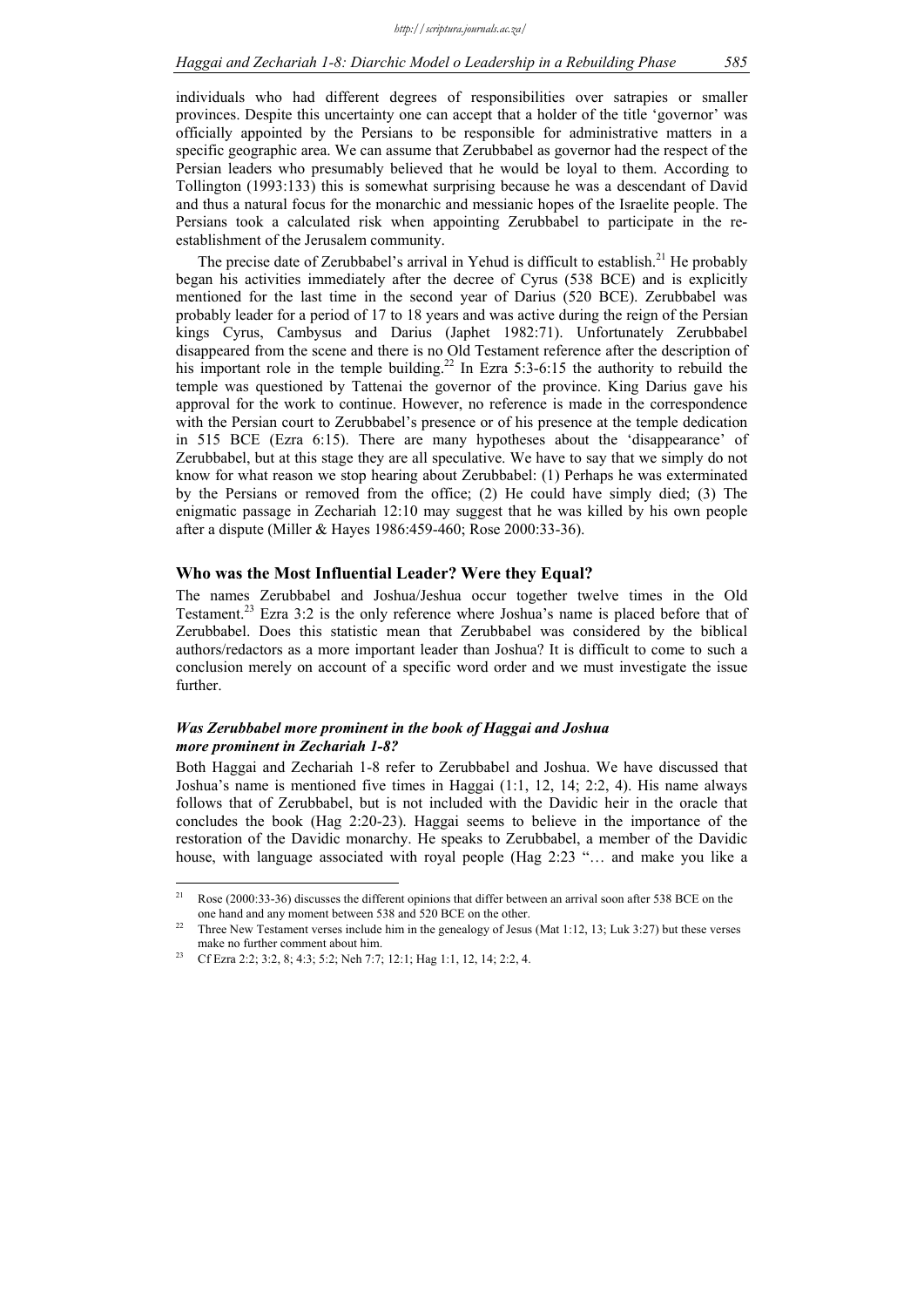individuals who had different degrees of responsibilities over satrapies or smaller provinces. Despite this uncertainty one can accept that a holder of the title 'governor' was officially appointed by the Persians to be responsible for administrative matters in a specific geographic area. We can assume that Zerubbabel as governor had the respect of the Persian leaders who presumably believed that he would be loyal to them. According to Tollington (1993:133) this is somewhat surprising because he was a descendant of David and thus a natural focus for the monarchic and messianic hopes of the Israelite people. The Persians took a calculated risk when appointing Zerubbabel to participate in the reestablishment of the Jerusalem community.

The precise date of Zerubbabel's arrival in Yehud is difficult to establish.<sup>21</sup> He probably began his activities immediately after the decree of Cyrus (538 BCE) and is explicitly mentioned for the last time in the second year of Darius (520 BCE). Zerubbabel was probably leader for a period of 17 to 18 years and was active during the reign of the Persian kings Cyrus, Cambysus and Darius (Japhet 1982:71). Unfortunately Zerubbabel disappeared from the scene and there is no Old Testament reference after the description of his important role in the temple building.<sup>22</sup> In Ezra 5:3-6:15 the authority to rebuild the temple was questioned by Tattenai the governor of the province. King Darius gave his approval for the work to continue. However, no reference is made in the correspondence with the Persian court to Zerubbabel's presence or of his presence at the temple dedication in 515 BCE (Ezra 6:15). There are many hypotheses about the 'disappearance' of Zerubbabel, but at this stage they are all speculative. We have to say that we simply do not know for what reason we stop hearing about Zerubbabel: (1) Perhaps he was exterminated by the Persians or removed from the office; (2) He could have simply died; (3) The enigmatic passage in Zechariah 12:10 may suggest that he was killed by his own people after a dispute (Miller & Hayes 1986:459-460; Rose 2000:33-36).

#### **Who was the Most Influential Leader? Were they Equal?**

The names Zerubbabel and Joshua/Jeshua occur together twelve times in the Old Testament.<sup>23</sup> Ezra 3:2 is the only reference where Joshua's name is placed before that of Zerubbabel. Does this statistic mean that Zerubbabel was considered by the biblical authors/redactors as a more important leader than Joshua? It is difficult to come to such a conclusion merely on account of a specific word order and we must investigate the issue further.

# *Was Zerubbabel more prominent in the book of Haggai and Joshua more prominent in Zechariah 1-8?*

Both Haggai and Zechariah 1-8 refer to Zerubbabel and Joshua. We have discussed that Joshua's name is mentioned five times in Haggai (1:1, 12, 14; 2:2, 4). His name always follows that of Zerubbabel, but is not included with the Davidic heir in the oracle that concludes the book (Hag 2:20-23). Haggai seems to believe in the importance of the restoration of the Davidic monarchy. He speaks to Zerubbabel, a member of the Davidic house, with language associated with royal people (Hag 2:23 "… and make you like a

1

<sup>21</sup> Rose (2000:33-36) discusses the different opinions that differ between an arrival soon after 538 BCE on the one hand and any moment between 538 and 520 BCE on the other.<br><sup>22</sup> Three New Testament verses include him in the genealogy of Jesus (Mat 1:12, 13; Luk 3:27) but these verses

make no further comment about him.<br><sup>23</sup> Cf Ezra 2:2; 3:2, 8; 4:3; 5:2; Neh 7:7; 12:1; Hag 1:1, 12, 14; 2:2, 4.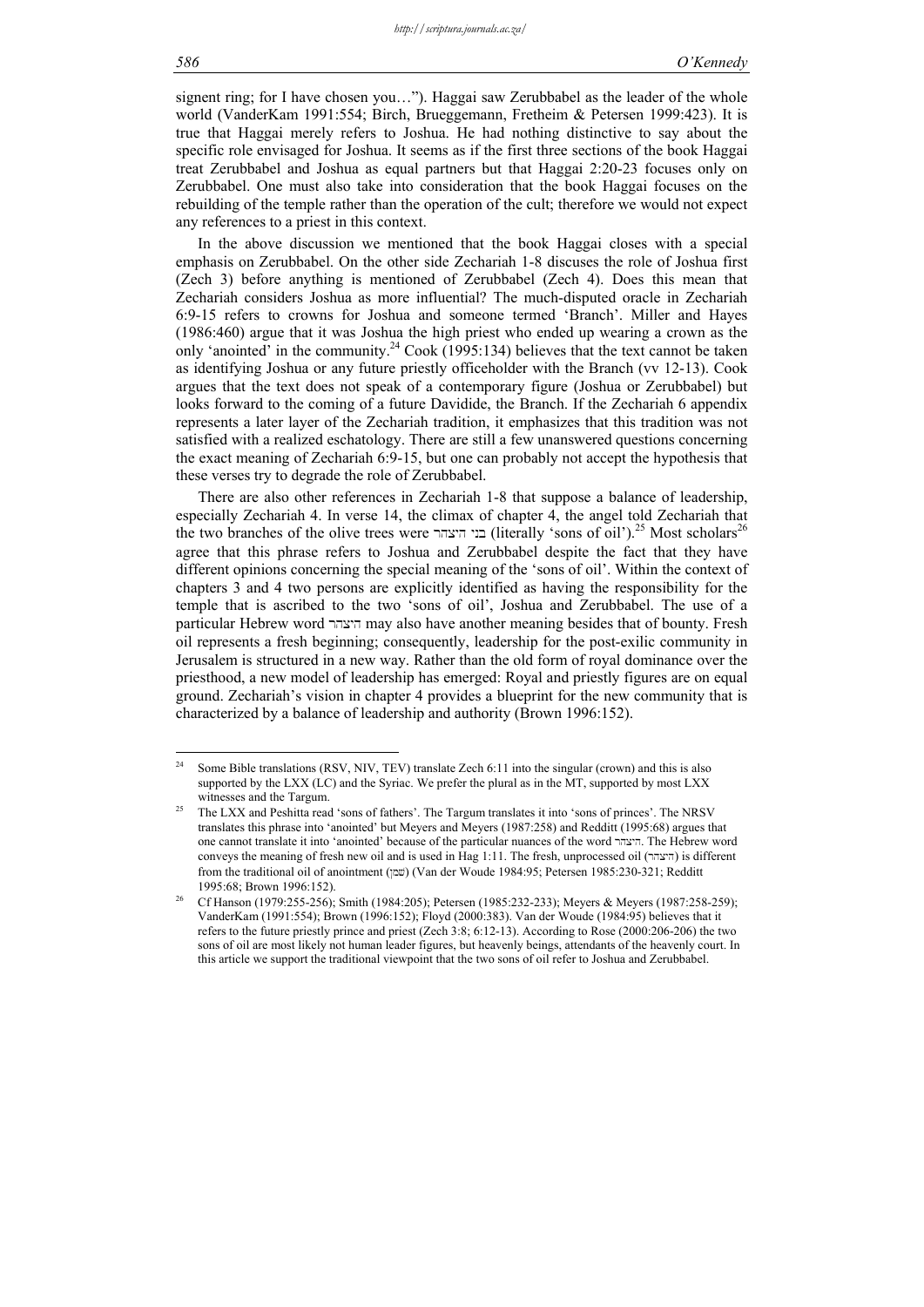signent ring; for I have chosen you..."). Haggai saw Zerubbabel as the leader of the whole world (VanderKam 1991:554; Birch, Brueggemann, Fretheim & Petersen 1999:423). It is true that Haggai merely refers to Joshua. He had nothing distinctive to say about the specific role envisaged for Joshua. It seems as if the first three sections of the book Haggai treat Zerubbabel and Joshua as equal partners but that Haggai 2:20-23 focuses only on Zerubbabel. One must also take into consideration that the book Haggai focuses on the rebuilding of the temple rather than the operation of the cult; therefore we would not expect any references to a priest in this context.

In the above discussion we mentioned that the book Haggai closes with a special emphasis on Zerubbabel. On the other side Zechariah 1-8 discuses the role of Joshua first (Zech 3) before anything is mentioned of Zerubbabel (Zech 4). Does this mean that Zechariah considers Joshua as more influential? The much-disputed oracle in Zechariah 6:9-15 refers to crowns for Joshua and someone termed 'Branch'. Miller and Hayes (1986:460) argue that it was Joshua the high priest who ended up wearing a crown as the only 'anointed' in the community.<sup>24</sup> Cook (1995:134) believes that the text cannot be taken as identifying Joshua or any future priestly officeholder with the Branch (vv 12-13). Cook argues that the text does not speak of a contemporary figure (Joshua or Zerubbabel) but looks forward to the coming of a future Davidide, the Branch. If the Zechariah 6 appendix represents a later layer of the Zechariah tradition, it emphasizes that this tradition was not satisfied with a realized eschatology. There are still a few unanswered questions concerning the exact meaning of Zechariah 6:9-15, but one can probably not accept the hypothesis that these verses try to degrade the role of Zerubbabel.

There are also other references in Zechariah 1-8 that suppose a balance of leadership, especially Zechariah 4. In verse 14, the climax of chapter 4, the angel told Zechariah that the two branches of the olive trees were בני היצהר (literally 'sons of oil').<sup>25</sup> Most scholars<sup>26</sup> agree that this phrase refers to Joshua and Zerubbabel despite the fact that they have different opinions concerning the special meaning of the 'sons of oil'. Within the context of chapters 3 and 4 two persons are explicitly identified as having the responsibility for the temple that is ascribed to the two 'sons of oil', Joshua and Zerubbabel. The use of a particular Hebrew word rhxyh may also have another meaning besides that of bounty. Fresh oil represents a fresh beginning; consequently, leadership for the post-exilic community in Jerusalem is structured in a new way. Rather than the old form of royal dominance over the priesthood, a new model of leadership has emerged: Royal and priestly figures are on equal ground. Zechariah's vision in chapter 4 provides a blueprint for the new community that is characterized by a balance of leadership and authority (Brown 1996:152).

 $24$ Some Bible translations (RSV, NIV, TEV) translate Zech 6:11 into the singular (crown) and this is also supported by the LXX (LC) and the Syriac. We prefer the plural as in the MT, supported by most LXX witnesses and the Targum.<br><sup>25</sup> The LXX and Peshitta read 'sons of fathers'. The Targum translates it into 'sons of princes'. The NRSV

translates this phrase into 'anointed' but Meyers and Meyers (1987:258) and Redditt (1995:68) argues that one cannot translate it into 'anointed' because of the particular nuances of the word rhxyh. The Hebrew word conveys the meaning of fresh new oil and is used in Hag 1:11. The fresh, unprocessed oil (rhxyh) is different from the traditional oil of anointment (pxv) (Van der Woude 1984:95; Petersen 1985:230-321; Redditt

<sup>1995:68;</sup> Brown 1996:152).<br>Cf Hanson (1979:255-256); Smith (1984:205); Petersen (1985:232-233); Meyers & Meyers (1987:258-259); VanderKam (1991:554); Brown (1996:152); Floyd (2000:383). Van der Woude (1984:95) believes that it refers to the future priestly prince and priest (Zech 3:8; 6:12-13). According to Rose (2000:206-206) the two sons of oil are most likely not human leader figures, but heavenly beings, attendants of the heavenly court. In this article we support the traditional viewpoint that the two sons of oil refer to Joshua and Zerubbabel.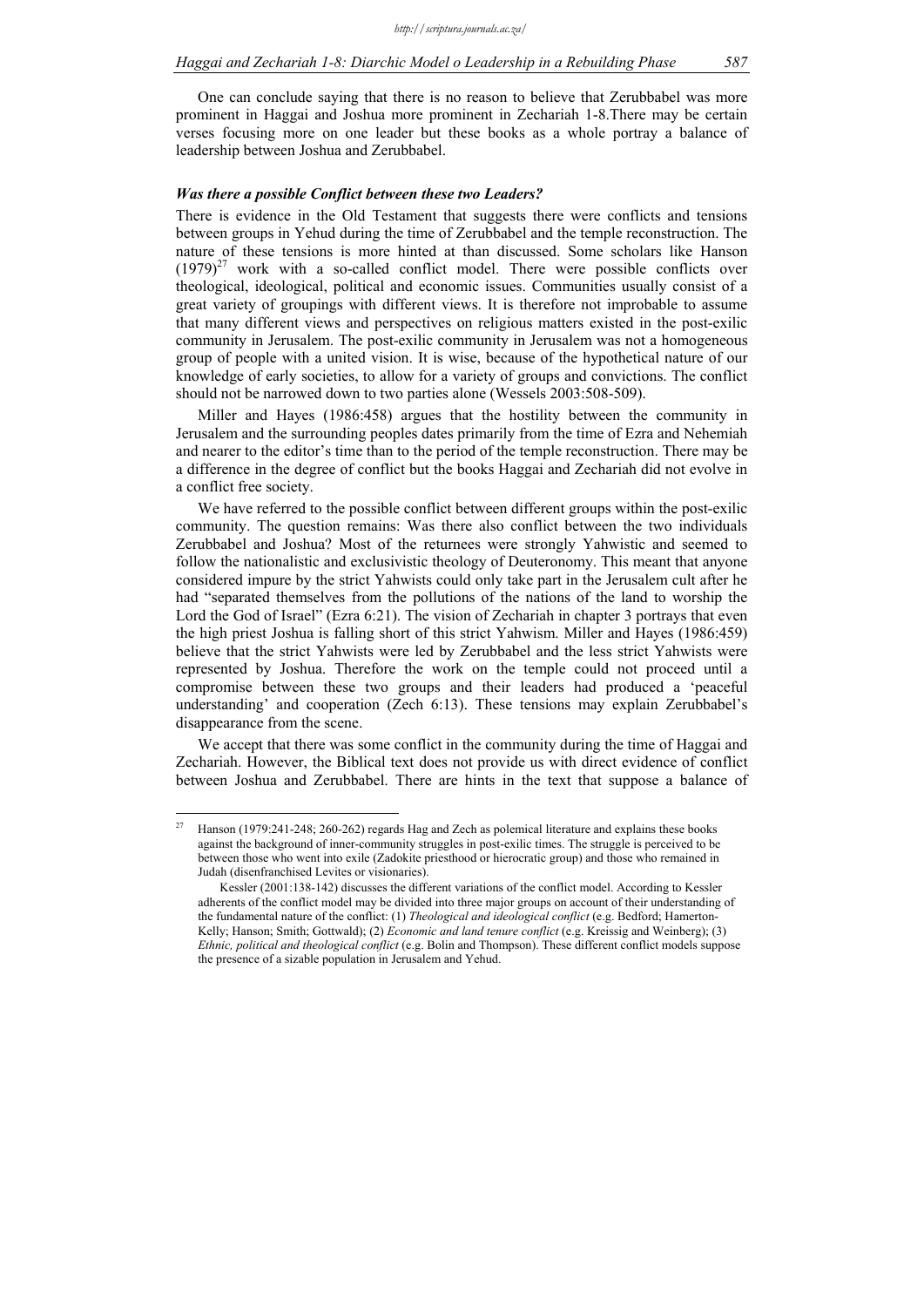One can conclude saying that there is no reason to believe that Zerubbabel was more prominent in Haggai and Joshua more prominent in Zechariah 1-8.There may be certain verses focusing more on one leader but these books as a whole portray a balance of leadership between Joshua and Zerubbabel.

### *Was there a possible Conflict between these two Leaders?*

There is evidence in the Old Testament that suggests there were conflicts and tensions between groups in Yehud during the time of Zerubbabel and the temple reconstruction. The nature of these tensions is more hinted at than discussed. Some scholars like Hanson  $(1979)^{27}$  work with a so-called conflict model. There were possible conflicts over theological, ideological, political and economic issues. Communities usually consist of a great variety of groupings with different views. It is therefore not improbable to assume that many different views and perspectives on religious matters existed in the post-exilic community in Jerusalem. The post-exilic community in Jerusalem was not a homogeneous group of people with a united vision. It is wise, because of the hypothetical nature of our knowledge of early societies, to allow for a variety of groups and convictions. The conflict should not be narrowed down to two parties alone (Wessels 2003:508-509).

Miller and Hayes (1986:458) argues that the hostility between the community in Jerusalem and the surrounding peoples dates primarily from the time of Ezra and Nehemiah and nearer to the editor's time than to the period of the temple reconstruction. There may be a difference in the degree of conflict but the books Haggai and Zechariah did not evolve in a conflict free society.

We have referred to the possible conflict between different groups within the post-exilic community. The question remains: Was there also conflict between the two individuals Zerubbabel and Joshua? Most of the returnees were strongly Yahwistic and seemed to follow the nationalistic and exclusivistic theology of Deuteronomy. This meant that anyone considered impure by the strict Yahwists could only take part in the Jerusalem cult after he had "separated themselves from the pollutions of the nations of the land to worship the Lord the God of Israel" (Ezra 6:21). The vision of Zechariah in chapter 3 portrays that even the high priest Joshua is falling short of this strict Yahwism. Miller and Hayes (1986:459) believe that the strict Yahwists were led by Zerubbabel and the less strict Yahwists were represented by Joshua. Therefore the work on the temple could not proceed until a compromise between these two groups and their leaders had produced a 'peaceful understanding' and cooperation (Zech 6:13). These tensions may explain Zerubbabel's disappearance from the scene.

We accept that there was some conflict in the community during the time of Haggai and Zechariah. However, the Biblical text does not provide us with direct evidence of conflict between Joshua and Zerubbabel. There are hints in the text that suppose a balance of

 $\frac{1}{27}$ 27 Hanson (1979:241-248; 260-262) regards Hag and Zech as polemical literature and explains these books against the background of inner-community struggles in post-exilic times. The struggle is perceived to be between those who went into exile (Zadokite priesthood or hierocratic group) and those who remained in Judah (disenfranchised Levites or visionaries).

Kessler (2001:138-142) discusses the different variations of the conflict model. According to Kessler adherents of the conflict model may be divided into three major groups on account of their understanding of the fundamental nature of the conflict: (1) *Theological and ideological conflict* (e.g. Bedford; Hamerton-Kelly; Hanson; Smith; Gottwald); (2) *Economic and land tenure conflict* (e.g. Kreissig and Weinberg); (3) *Ethnic, political and theological conflict* (e.g. Bolin and Thompson). These different conflict models suppose the presence of a sizable population in Jerusalem and Yehud.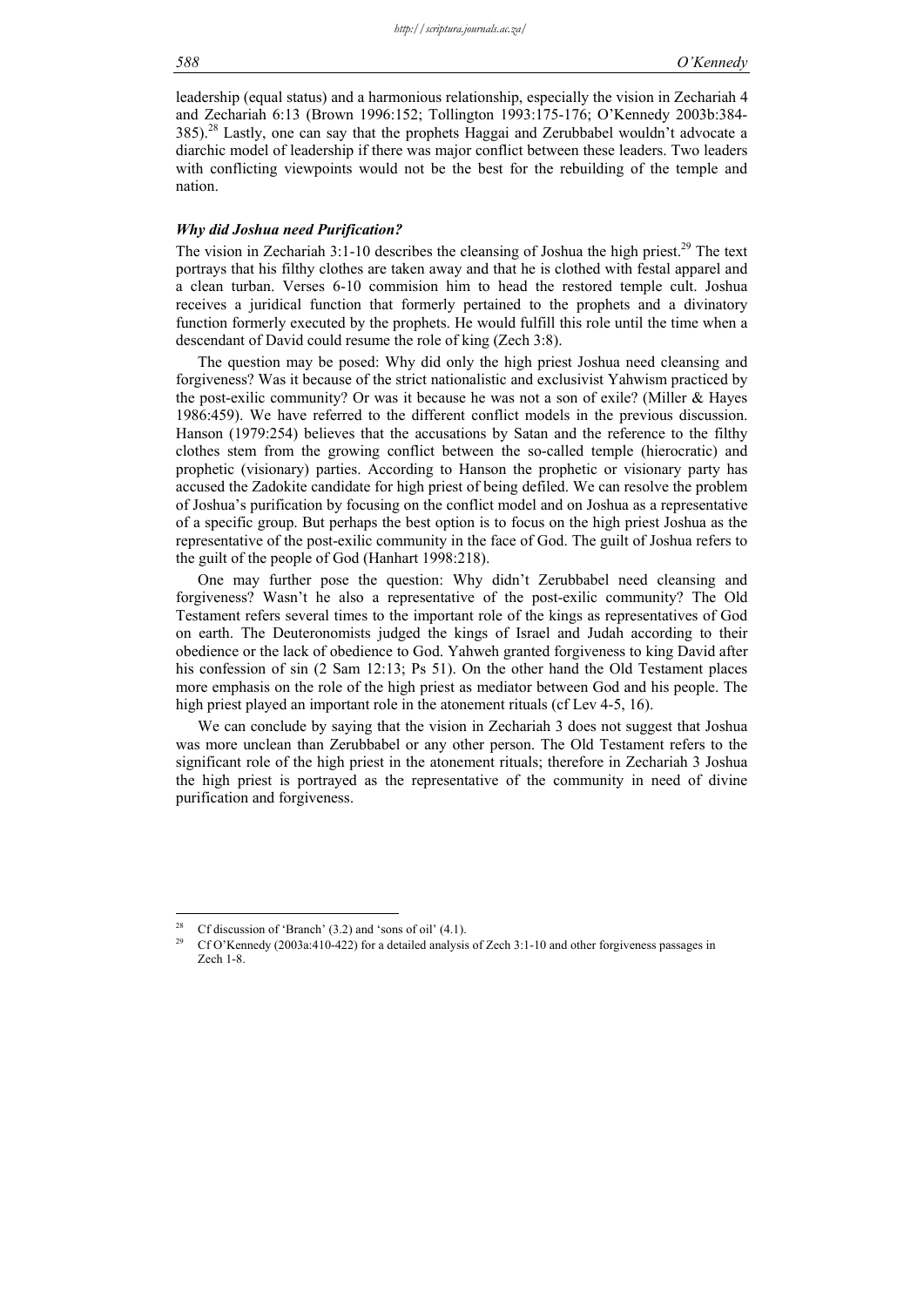leadership (equal status) and a harmonious relationship, especially the vision in Zechariah 4 and Zechariah 6:13 (Brown 1996:152; Tollington 1993:175-176; O'Kennedy 2003b:384- 385).28 Lastly, one can say that the prophets Haggai and Zerubbabel wouldn't advocate a diarchic model of leadership if there was major conflict between these leaders. Two leaders with conflicting viewpoints would not be the best for the rebuilding of the temple and nation.

#### *Why did Joshua need Purification?*

The vision in Zechariah 3:1-10 describes the cleansing of Joshua the high priest.<sup>29</sup> The text portrays that his filthy clothes are taken away and that he is clothed with festal apparel and a clean turban. Verses 6-10 commision him to head the restored temple cult. Joshua receives a juridical function that formerly pertained to the prophets and a divinatory function formerly executed by the prophets. He would fulfill this role until the time when a descendant of David could resume the role of king (Zech 3:8).

The question may be posed: Why did only the high priest Joshua need cleansing and forgiveness? Was it because of the strict nationalistic and exclusivist Yahwism practiced by the post-exilic community? Or was it because he was not a son of exile? (Miller & Hayes 1986:459). We have referred to the different conflict models in the previous discussion. Hanson (1979:254) believes that the accusations by Satan and the reference to the filthy clothes stem from the growing conflict between the so-called temple (hierocratic) and prophetic (visionary) parties. According to Hanson the prophetic or visionary party has accused the Zadokite candidate for high priest of being defiled. We can resolve the problem of Joshua's purification by focusing on the conflict model and on Joshua as a representative of a specific group. But perhaps the best option is to focus on the high priest Joshua as the representative of the post-exilic community in the face of God. The guilt of Joshua refers to the guilt of the people of God (Hanhart 1998:218).

One may further pose the question: Why didn't Zerubbabel need cleansing and forgiveness? Wasn't he also a representative of the post-exilic community? The Old Testament refers several times to the important role of the kings as representatives of God on earth. The Deuteronomists judged the kings of Israel and Judah according to their obedience or the lack of obedience to God. Yahweh granted forgiveness to king David after his confession of sin (2 Sam 12:13; Ps 51). On the other hand the Old Testament places more emphasis on the role of the high priest as mediator between God and his people. The high priest played an important role in the atonement rituals (cf Lev 4-5, 16).

We can conclude by saying that the vision in Zechariah 3 does not suggest that Joshua was more unclean than Zerubbabel or any other person. The Old Testament refers to the significant role of the high priest in the atonement rituals; therefore in Zechariah 3 Joshua the high priest is portrayed as the representative of the community in need of divine purification and forgiveness.

 $28$ <sup>28</sup> Cf discussion of 'Branch' (3.2) and 'sons of oil' (4.1).<br><sup>29</sup> Cf Q'<sup>*K*</sup> annody (2002 at 110, 422) for a detailed analysis

<sup>29</sup> Cf O'Kennedy (2003a:410-422) for a detailed analysis of Zech 3:1-10 and other forgiveness passages in Zech 1-8.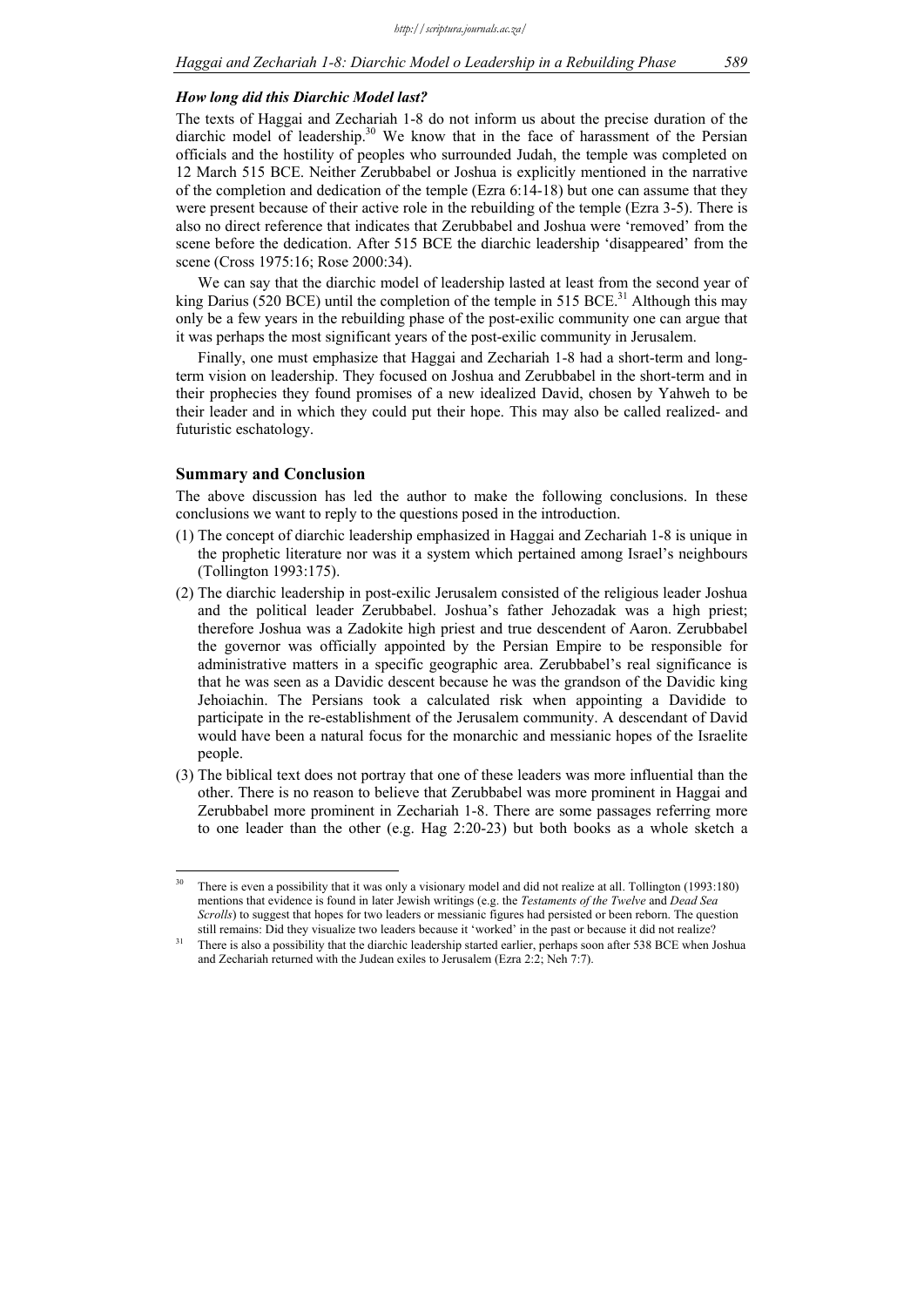#### *How long did this Diarchic Model last?*

The texts of Haggai and Zechariah 1-8 do not inform us about the precise duration of the diarchic model of leadership. $30$  We know that in the face of harassment of the Persian officials and the hostility of peoples who surrounded Judah, the temple was completed on 12 March 515 BCE. Neither Zerubbabel or Joshua is explicitly mentioned in the narrative of the completion and dedication of the temple (Ezra 6:14-18) but one can assume that they were present because of their active role in the rebuilding of the temple (Ezra 3-5). There is also no direct reference that indicates that Zerubbabel and Joshua were 'removed' from the scene before the dedication. After 515 BCE the diarchic leadership 'disappeared' from the scene (Cross 1975:16; Rose 2000:34).

We can say that the diarchic model of leadership lasted at least from the second year of king Darius (520 BCE) until the completion of the temple in 515 BCE.<sup>31</sup> Although this may only be a few years in the rebuilding phase of the post-exilic community one can argue that it was perhaps the most significant years of the post-exilic community in Jerusalem.

Finally, one must emphasize that Haggai and Zechariah 1-8 had a short-term and longterm vision on leadership. They focused on Joshua and Zerubbabel in the short-term and in their prophecies they found promises of a new idealized David, chosen by Yahweh to be their leader and in which they could put their hope. This may also be called realized- and futuristic eschatology.

#### **Summary and Conclusion**

<u>.</u>

The above discussion has led the author to make the following conclusions. In these conclusions we want to reply to the questions posed in the introduction.

- (1) The concept of diarchic leadership emphasized in Haggai and Zechariah 1-8 is unique in the prophetic literature nor was it a system which pertained among Israel's neighbours (Tollington 1993:175).
- (2) The diarchic leadership in post-exilic Jerusalem consisted of the religious leader Joshua and the political leader Zerubbabel. Joshua's father Jehozadak was a high priest; therefore Joshua was a Zadokite high priest and true descendent of Aaron. Zerubbabel the governor was officially appointed by the Persian Empire to be responsible for administrative matters in a specific geographic area. Zerubbabel's real significance is that he was seen as a Davidic descent because he was the grandson of the Davidic king Jehoiachin. The Persians took a calculated risk when appointing a Davidide to participate in the re-establishment of the Jerusalem community. A descendant of David would have been a natural focus for the monarchic and messianic hopes of the Israelite people.
- (3) The biblical text does not portray that one of these leaders was more influential than the other. There is no reason to believe that Zerubbabel was more prominent in Haggai and Zerubbabel more prominent in Zechariah 1-8. There are some passages referring more to one leader than the other (e.g. Hag 2:20-23) but both books as a whole sketch a

<sup>&</sup>lt;sup>30</sup> There is even a possibility that it was only a visionary model and did not realize at all. Tollington (1993:180) mentions that evidence is found in later Jewish writings (e.g. the *Testaments of the Twelve* and *Dead Sea Scrolls*) to suggest that hopes for two leaders or messianic figures had persisted or been reborn. The question

still remains: Did they visualize two leaders because it 'worked' in the past or because it did not realize?<br><sup>31</sup> There is also a possibility that the diarchic leadership started earlier, perhaps soon after 538 BCE when Jo and Zechariah returned with the Judean exiles to Jerusalem (Ezra 2:2; Neh 7:7).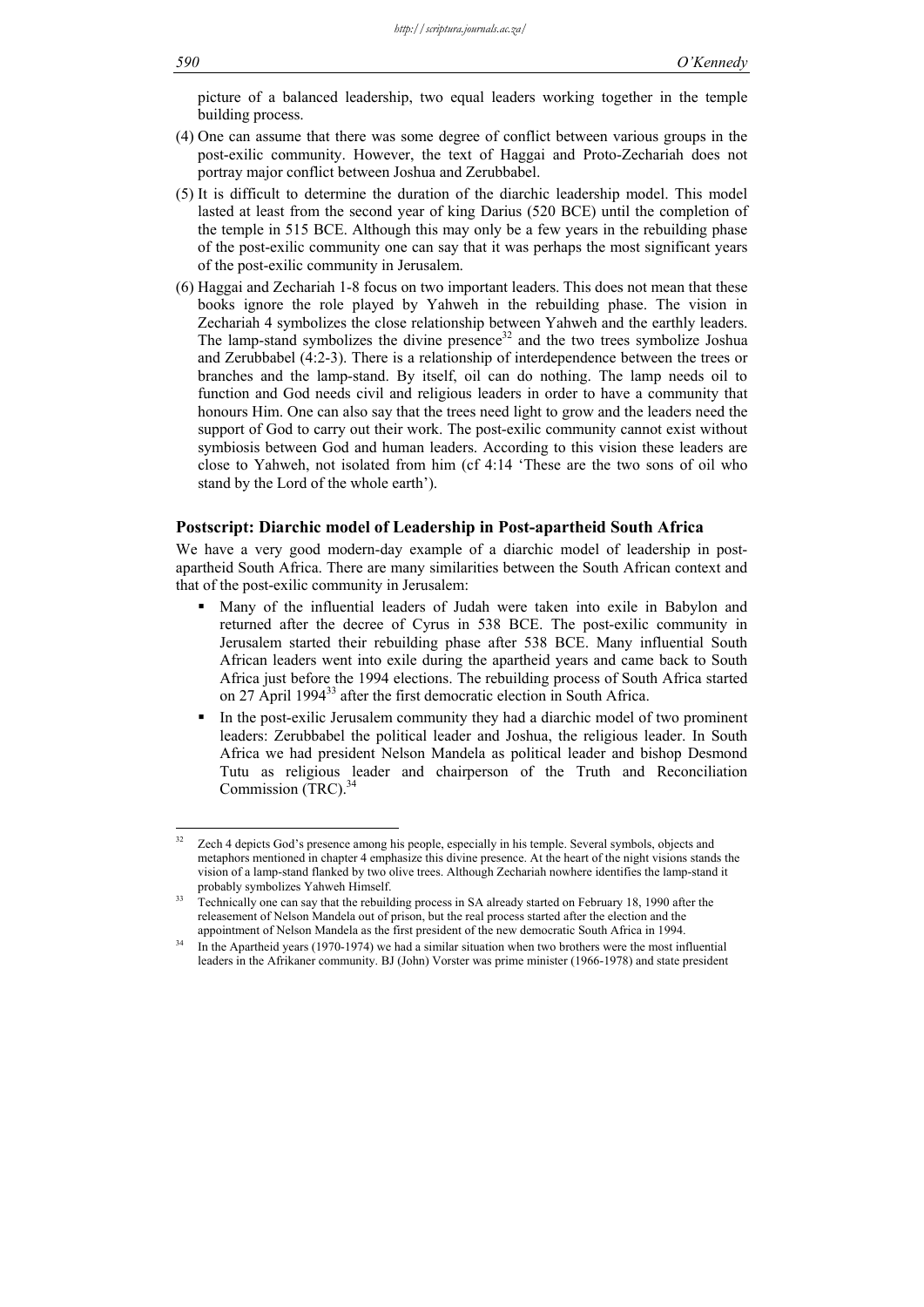picture of a balanced leadership, two equal leaders working together in the temple building process.

- (4) One can assume that there was some degree of conflict between various groups in the post-exilic community. However, the text of Haggai and Proto-Zechariah does not portray major conflict between Joshua and Zerubbabel.
- (5) It is difficult to determine the duration of the diarchic leadership model. This model lasted at least from the second year of king Darius (520 BCE) until the completion of the temple in 515 BCE. Although this may only be a few years in the rebuilding phase of the post-exilic community one can say that it was perhaps the most significant years of the post-exilic community in Jerusalem.
- (6) Haggai and Zechariah 1-8 focus on two important leaders. This does not mean that these books ignore the role played by Yahweh in the rebuilding phase. The vision in Zechariah 4 symbolizes the close relationship between Yahweh and the earthly leaders. The lamp-stand symbolizes the divine presence $32$  and the two trees symbolize Joshua and Zerubbabel (4:2-3). There is a relationship of interdependence between the trees or branches and the lamp-stand. By itself, oil can do nothing. The lamp needs oil to function and God needs civil and religious leaders in order to have a community that honours Him. One can also say that the trees need light to grow and the leaders need the support of God to carry out their work. The post-exilic community cannot exist without symbiosis between God and human leaders. According to this vision these leaders are close to Yahweh, not isolated from him (cf 4:14 'These are the two sons of oil who stand by the Lord of the whole earth').

#### **Postscript: Diarchic model of Leadership in Post-apartheid South Africa**

We have a very good modern-day example of a diarchic model of leadership in postapartheid South Africa. There are many similarities between the South African context and that of the post-exilic community in Jerusalem:

- Many of the influential leaders of Judah were taken into exile in Babylon and returned after the decree of Cyrus in 538 BCE. The post-exilic community in Jerusalem started their rebuilding phase after 538 BCE. Many influential South African leaders went into exile during the apartheid years and came back to South Africa just before the 1994 elections. The rebuilding process of South Africa started on 27 April 1994<sup>33</sup> after the first democratic election in South Africa.
- In the post-exilic Jerusalem community they had a diarchic model of two prominent leaders: Zerubbabel the political leader and Joshua, the religious leader. In South Africa we had president Nelson Mandela as political leader and bishop Desmond Tutu as religious leader and chairperson of the Truth and Reconciliation Commission (TRC).<sup>34</sup>

 $32$ Zech 4 depicts God's presence among his people, especially in his temple. Several symbols, objects and metaphors mentioned in chapter 4 emphasize this divine presence. At the heart of the night visions stands the vision of a lamp-stand flanked by two olive trees. Although Zechariah nowhere identifies the lamp-stand it probably symbolizes Yahweh Himself.<br><sup>33</sup> Technically one can say that the rebuilding process in SA already started on February 18, 1990 after the

releasement of Nelson Mandela out of prison, but the real process started after the election and the appointment of Nelson Mandela as the first president of the new democratic South Africa in 1994.<br><sup>34</sup> In the Apartheid years (1970-1974) we had a similar situation when two brothers were the most influential

leaders in the Afrikaner community. BJ (John) Vorster was prime minister (1966-1978) and state president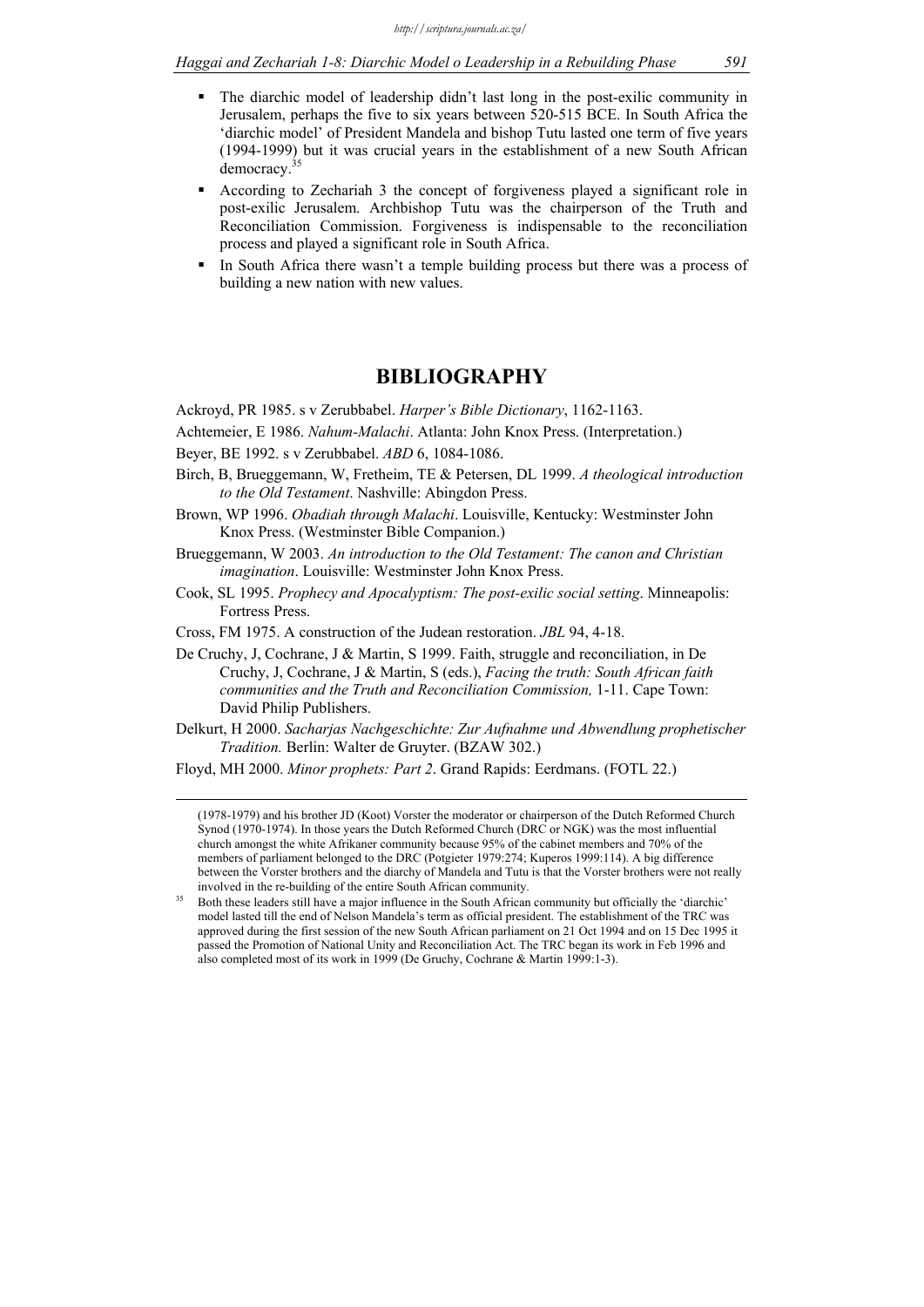- The diarchic model of leadership didn't last long in the post-exilic community in Jerusalem, perhaps the five to six years between 520-515 BCE. In South Africa the 'diarchic model' of President Mandela and bishop Tutu lasted one term of five years (1994-1999) but it was crucial years in the establishment of a new South African democracy.<sup>3</sup>
- According to Zechariah 3 the concept of forgiveness played a significant role in post-exilic Jerusalem. Archbishop Tutu was the chairperson of the Truth and Reconciliation Commission. Forgiveness is indispensable to the reconciliation process and played a significant role in South Africa.
- In South Africa there wasn't a temple building process but there was a process of building a new nation with new values.

# **BIBLIOGRAPHY**

Ackroyd, PR 1985. s v Zerubbabel. *Harper's Bible Dictionary*, 1162-1163.

- Achtemeier, E 1986. *Nahum-Malachi*. Atlanta: John Knox Press. (Interpretation.)
- Beyer, BE 1992. s v Zerubbabel. *ABD* 6, 1084-1086.
- Birch, B, Brueggemann, W, Fretheim, TE & Petersen, DL 1999. *A theological introduction to the Old Testament*. Nashville: Abingdon Press.
- Brown, WP 1996. *Obadiah through Malachi*. Louisville, Kentucky: Westminster John Knox Press. (Westminster Bible Companion.)
- Brueggemann, W 2003. *An introduction to the Old Testament: The canon and Christian imagination*. Louisville: Westminster John Knox Press.
- Cook, SL 1995. *Prophecy and Apocalyptism: The post-exilic social setting*. Minneapolis: Fortress Press.
- Cross, FM 1975. A construction of the Judean restoration. *JBL* 94, 4-18.
- De Cruchy, J, Cochrane, J & Martin, S 1999. Faith, struggle and reconciliation, in De Cruchy, J, Cochrane, J & Martin, S (eds.), *Facing the truth: South African faith communities and the Truth and Reconciliation Commission,* 1-11. Cape Town: David Philip Publishers.
- Delkurt, H 2000. *Sacharjas Nachgeschichte: Zur Aufnahme und Abwendlung prophetischer Tradition.* Berlin: Walter de Gruyter. (BZAW 302.)

Floyd, MH 2000. *Minor prophets: Part 2*. Grand Rapids: Eerdmans. (FOTL 22.)

 (1978-1979) and his brother JD (Koot) Vorster the moderator or chairperson of the Dutch Reformed Church Synod (1970-1974). In those years the Dutch Reformed Church (DRC or NGK) was the most influential church amongst the white Afrikaner community because 95% of the cabinet members and 70% of the members of parliament belonged to the DRC (Potgieter 1979:274; Kuperos 1999:114). A big difference between the Vorster brothers and the diarchy of Mandela and Tutu is that the Vorster brothers were not really involved in the re-building of the entire South African community.<br>35 Both these leaders still have a major influence in the South African community but officially the 'diarchic'

model lasted till the end of Nelson Mandela's term as official president. The establishment of the TRC was approved during the first session of the new South African parliament on 21 Oct 1994 and on 15 Dec 1995 it passed the Promotion of National Unity and Reconciliation Act. The TRC began its work in Feb 1996 and also completed most of its work in 1999 (De Gruchy, Cochrane & Martin 1999:1-3).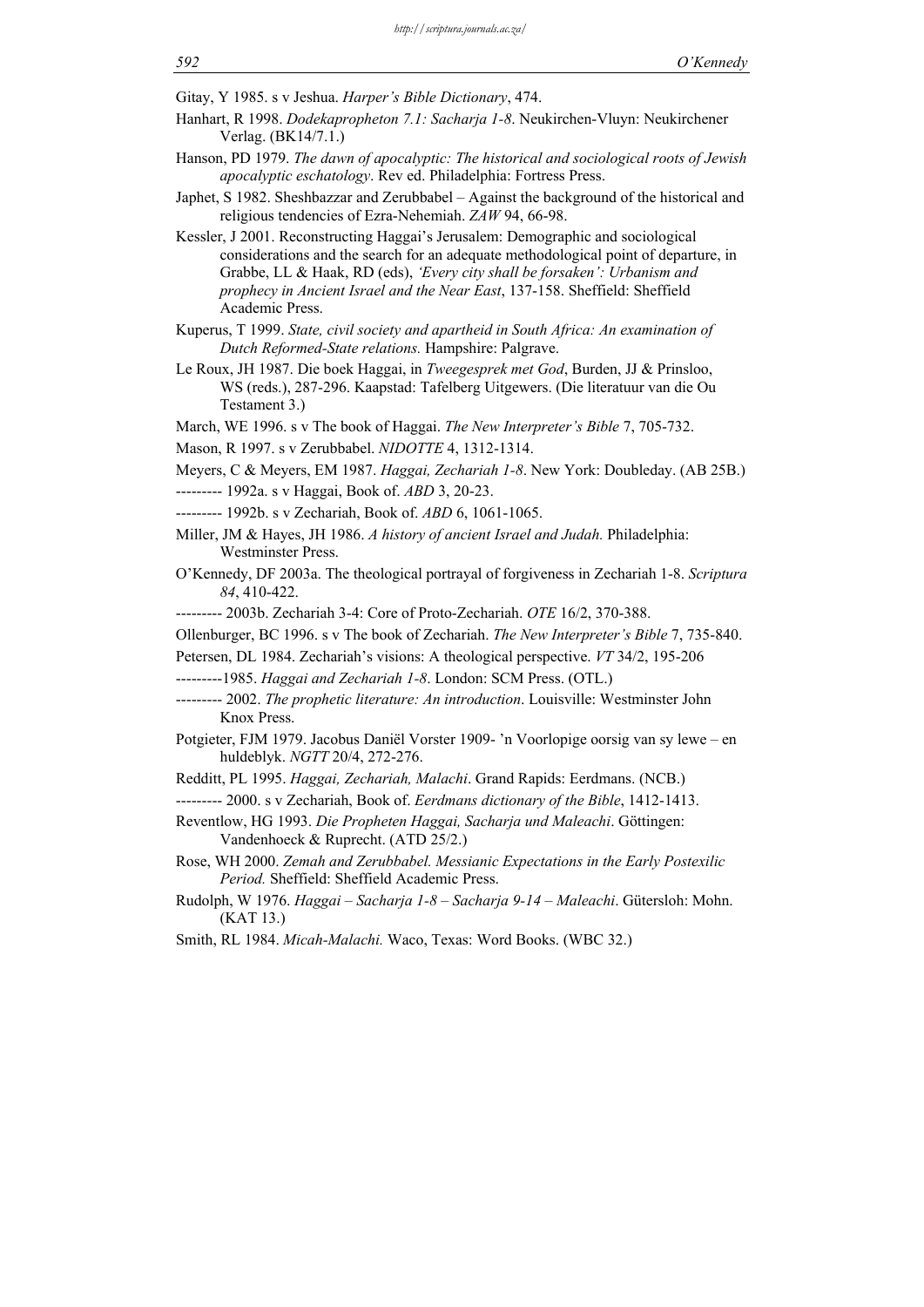Gitay, Y 1985. s v Jeshua. *Harper's Bible Dictionary*, 474.

- Hanhart, R 1998. *Dodekapropheton 7.1: Sacharja 1-8*. Neukirchen-Vluyn: Neukirchener Verlag. (BK14/7.1.)
- Hanson, PD 1979. *The dawn of apocalyptic: The historical and sociological roots of Jewish apocalyptic eschatology*. Rev ed. Philadelphia: Fortress Press.
- Japhet, S 1982. Sheshbazzar and Zerubbabel Against the background of the historical and religious tendencies of Ezra-Nehemiah. *ZAW* 94, 66-98.
- Kessler, J 2001. Reconstructing Haggai's Jerusalem: Demographic and sociological considerations and the search for an adequate methodological point of departure, in Grabbe, LL & Haak, RD (eds), *'Every city shall be forsaken': Urbanism and prophecy in Ancient Israel and the Near East*, 137-158. Sheffield: Sheffield Academic Press.
- Kuperus, T 1999. *State, civil society and apartheid in South Africa: An examination of Dutch Reformed-State relations.* Hampshire: Palgrave.
- Le Roux, JH 1987. Die boek Haggai, in *Tweegesprek met God*, Burden, JJ & Prinsloo, WS (reds.), 287-296. Kaapstad: Tafelberg Uitgewers. (Die literatuur van die Ou Testament 3.)

March, WE 1996. s v The book of Haggai. *The New Interpreter's Bible* 7, 705-732.

Mason, R 1997. s v Zerubbabel. *NIDOTTE* 4, 1312-1314.

Meyers, C & Meyers, EM 1987. *Haggai, Zechariah 1-8*. New York: Doubleday. (AB 25B.)

--------- 1992a. s v Haggai, Book of. *ABD* 3, 20-23.

- --------- 1992b. s v Zechariah, Book of. *ABD* 6, 1061-1065.
- Miller, JM & Hayes, JH 1986. *A history of ancient Israel and Judah.* Philadelphia: Westminster Press.
- O'Kennedy, DF 2003a. The theological portrayal of forgiveness in Zechariah 1-8. *Scriptura 84*, 410-422.

--------- 2003b. Zechariah 3-4: Core of Proto-Zechariah. *OTE* 16/2, 370-388.

- Ollenburger, BC 1996. s v The book of Zechariah. *The New Interpreter's Bible* 7, 735-840.
- Petersen, DL 1984. Zechariah's visions: A theological perspective. *VT* 34/2, 195-206
- ---------1985. *Haggai and Zechariah 1-8*. London: SCM Press. (OTL.)
- --------- 2002. *The prophetic literature: An introduction*. Louisville: Westminster John Knox Press.
- Potgieter, FJM 1979. Jacobus Daniël Vorster 1909- 'n Voorlopige oorsig van sy lewe en huldeblyk. *NGTT* 20/4, 272-276.
- Redditt, PL 1995. *Haggai, Zechariah, Malachi*. Grand Rapids: Eerdmans. (NCB.)
- --------- 2000. s v Zechariah, Book of. *Eerdmans dictionary of the Bible*, 1412-1413.
- Reventlow, HG 1993. *Die Propheten Haggai, Sacharja und Maleachi*. Göttingen: Vandenhoeck & Ruprecht. (ATD 25/2.)
- Rose, WH 2000. *Zemah and Zerubbabel. Messianic Expectations in the Early Postexilic Period.* Sheffield: Sheffield Academic Press.
- Rudolph, W 1976. *Haggai Sacharja 1-8 Sacharja 9-14 Maleachi*. Gütersloh: Mohn. (KAT 13.)
- Smith, RL 1984. *Micah-Malachi.* Waco, Texas: Word Books. (WBC 32.)